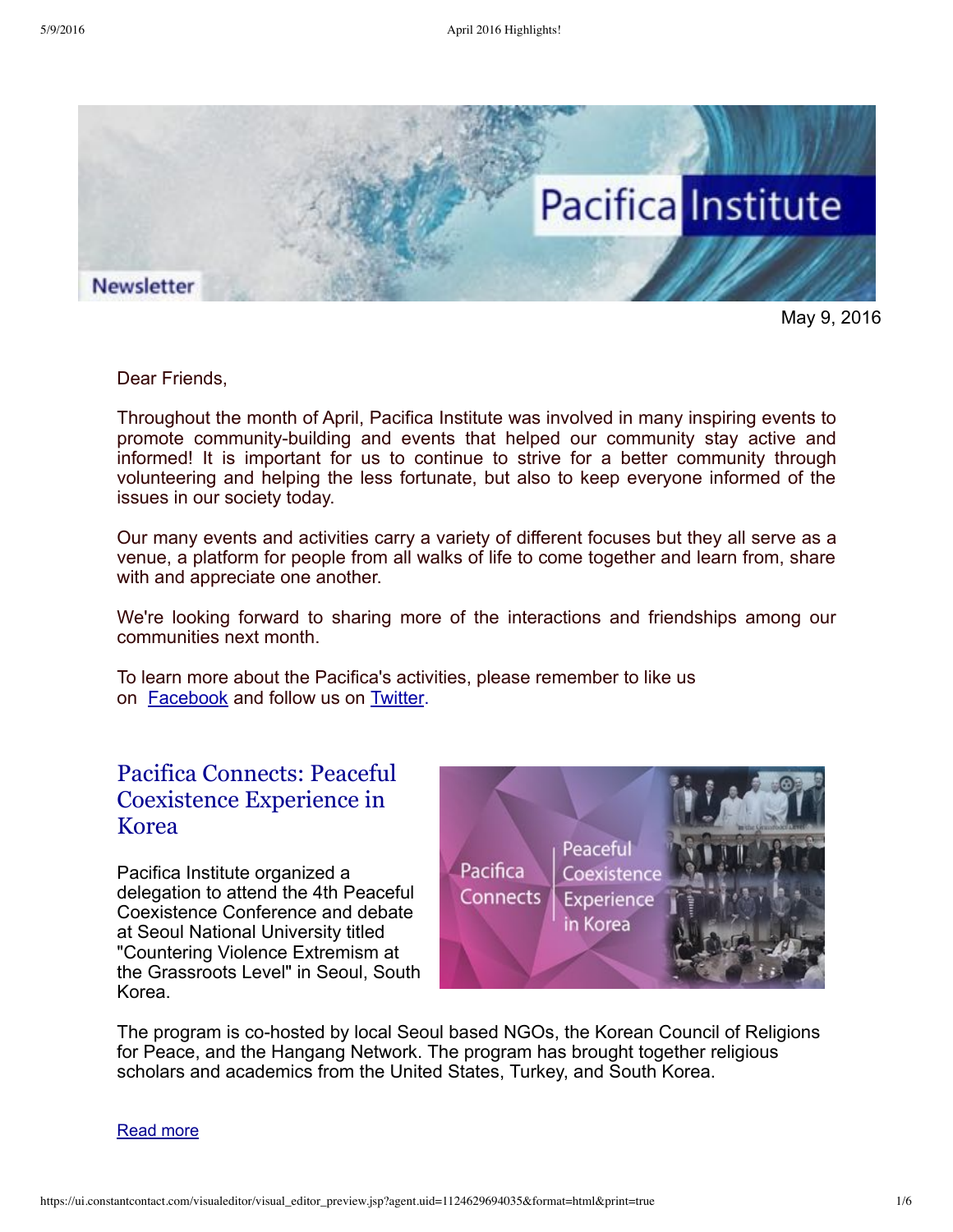

May 9, 2016

Dear Friends,

Throughout the month of April, Pacifica Institute was involved in many inspiring events to promote community-building and events that helped our community stay active and informed! It is important for us to continue to strive for a better community through volunteering and helping the less fortunate, but also to keep everyone informed of the issues in our society today.

Our many events and activities carry a variety of different focuses but they all serve as a venue, a platform for people from all walks of life to come together and learn from, share with and appreciate one another.

We're looking forward to sharing more of the interactions and friendships among our communities next month.

To learn more about the Pacifica's activities, please remember to like us on [Facebook](https://www.facebook.com/pacificainstitute?ref=bookmarks) and follow us on [Twitter.](https://twitter.com/Pacifica_Ins)

## Pacifica Connects: Peaceful [Coexistence](http://pacificainstitute.org/2016/04/26/pacifica-connects-peaceful-coexistence-experience-in-korea/) Experience in Korea

Pacifica Institute organized a delegation to attend the 4th Peaceful Coexistence Conference and debate at Seoul National University titled "Countering Violence Extremism at the Grassroots Level" in Seoul, South Korea.



The program is co-hosted by local Seoul based NGOs, the Korean Council of Religions for Peace, and the Hangang Network. The program has brought together religious scholars and academics from the United States, Turkey, and South Korea.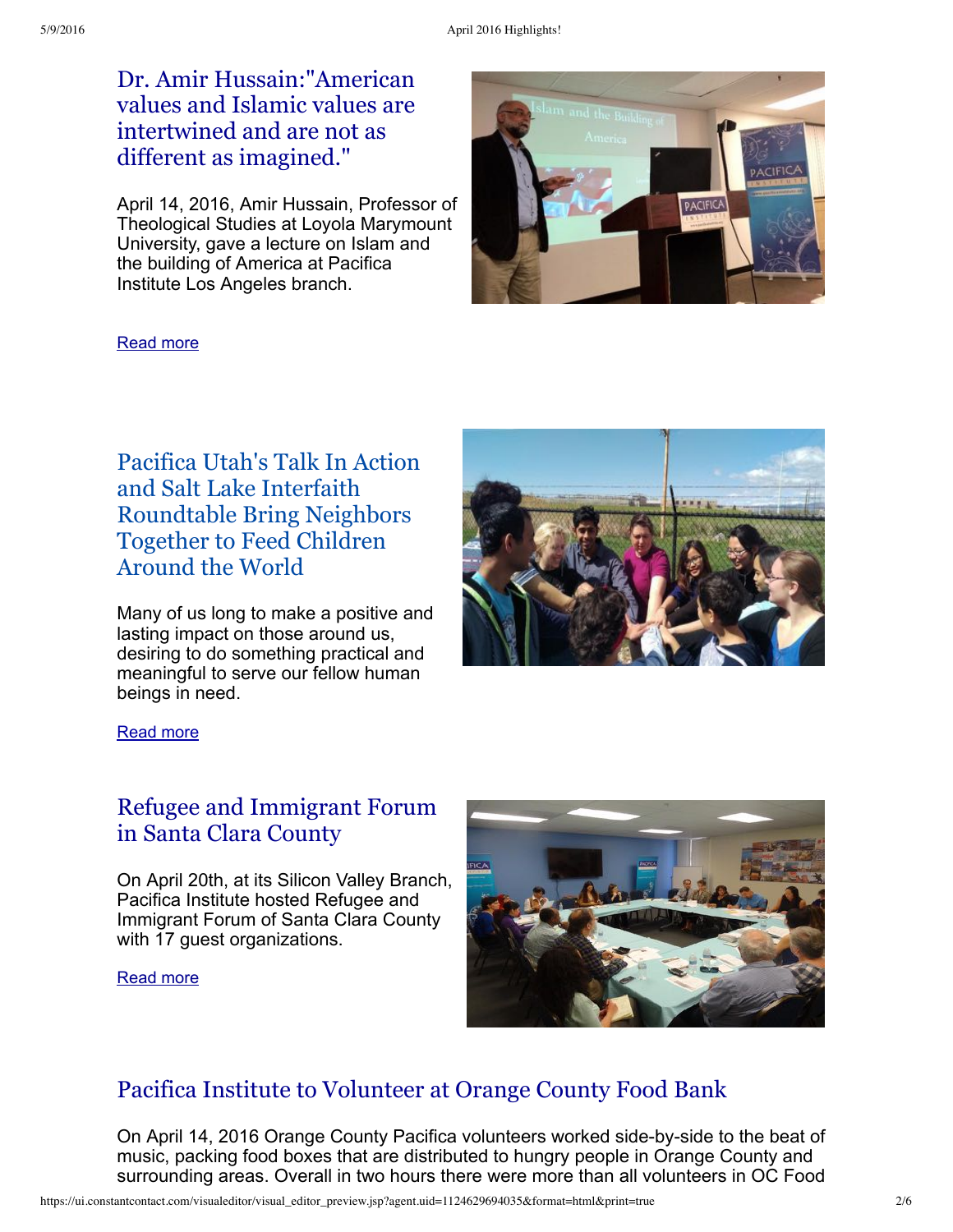Dr. Amir [Hussain:"American](http://pacificainstitute.org/2016/03/19/coastal-protection-updates-by-senator-ben-allen/) values and Islamic values are intertwined and are not as different as imagined."

April 14, 2016, Amir Hussain, Professor of Theological Studies at Loyola Marymount University, gave a lecture on Islam and the building of America at Pacifica Institute Los Angeles branch.



### [Read](http://pacificainstitute.org/2016/04/18/dr-amir-hussain-talked-about-islam-and-the-building-of-america/) more

Pacifica Utah's Talk In Action and Salt Lake Interfaith [Roundtable](http://pacificainstitute.org/2016/04/20/pacifica-utahs-talk-in-action-and-salt-lake-interfaith-roundtable-bring-neighbors-together-to-feed-children-around-the-world-2/) Bring Neighbors Together to Feed Children Around the World

Many of us long to make a positive and lasting impact on those around us, desiring to do something practical and meaningful to serve our fellow human beings in need.



[Read](http://pacificainstitute.org/2016/04/20/pacifica-utahs-talk-in-action-and-salt-lake-interfaith-roundtable-bring-neighbors-together-to-feed-children-around-the-world-2/) more

## Refugee and [Immigrant](http://pacificainstitute.org/bay-area/2016/05/02/refugee-and-immigrant-forum-in-santa-clara-county/) Forum in Santa Clara County

On April 20th, at its Silicon Valley Branch, Pacifica Institute hosted Refugee and Immigrant Forum of Santa Clara County with 17 guest organizations.

[Read](http://pacificainstitute.org/bay-area/2016/05/02/refugee-and-immigrant-forum-in-santa-clara-county/) more



## Pacifica Institute to [Volunteer](http://pacificainstitute.org/2016/05/02/pacifica-to-volunteer-at-orange-county-food-bank/) at Orange County Food Bank

On April 14, 2016 Orange County Pacifica volunteers worked side-by-side to the beat of music, packing food boxes that are distributed to hungry people in Orange County and surrounding areas. Overall in two hours there were more than all volunteers in OC Food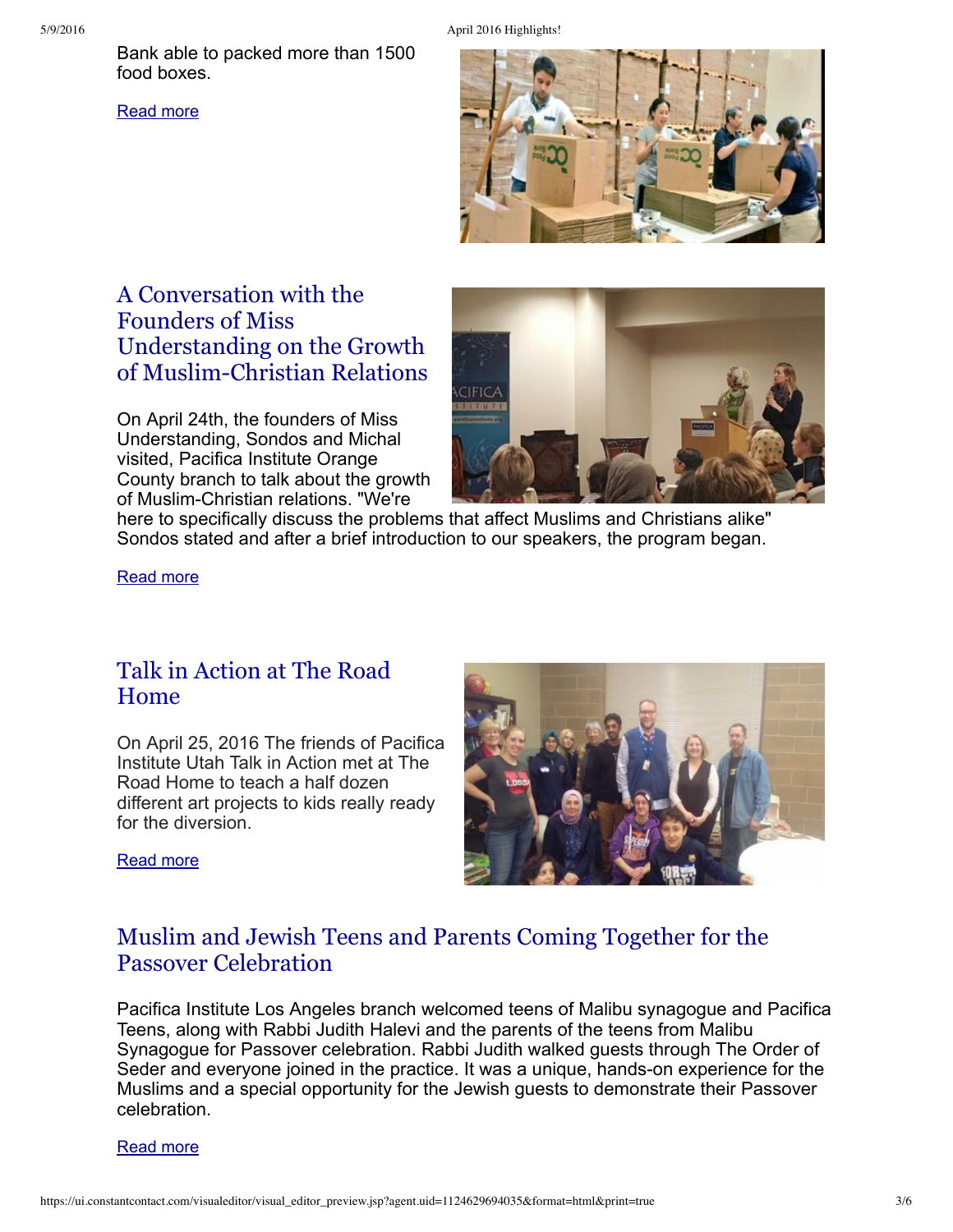Bank able to packed more than 1500 food boxes.

[Read](http://pacificainstitute.org/2016/05/02/pacifica-to-volunteer-at-orange-county-food-bank/) more





# A Conversation with the Founders of Miss Understanding on the Growth of [Muslim-Christian](http://pacificainstitute.org/2016/05/07/a-conversation-with-the-founders-of-miss-understanding-on-the-growth-of-muslim-christian-relations/) Relations

On April 24th, the founders of Miss Understanding, Sondos and Michal visited, Pacifica Institute Orange County branch to talk about the growth of Muslim-Christian relations. "We're



here to specifically discuss the problems that affect Muslims and Christians alike" Sondos stated and after a brief introduction to our speakers, the program began.

[Read](http://pacificainstitute.org/2016/05/07/a-conversation-with-the-founders-of-miss-understanding-on-the-growth-of-muslim-christian-relations/) more

## Talk in [Action](http://pacificainstitute.org/2016/04/29/talk-in-action-at-the-road-home/) at The Road Home

On April 25, 2016 The friends of Pacifica Institute Utah Talk in Action met at The Road Home to teach a half dozen different art projects to kids really ready for the diversion.



[Read](http://pacificainstitute.org/2016/04/29/talk-in-action-at-the-road-home/) more

# Muslim and Jewish Teens and Parents Coming Together for the Passover [Celebration](http://pacificainstitute.org/2016/05/06/muslim-and-jewish-teens-and-parents-coming-together-for-the-passover-celebration/)

Pacifica Institute Los Angeles branch welcomed teens of Malibu synagogue and Pacifica Teens, along with Rabbi Judith Halevi and the parents of the teens from Malibu Synagogue for Passover celebration. Rabbi Judith walked guests through The Order of Seder and everyone joined in the practice. It was a unique, hands-on experience for the Muslims and a special opportunity for the Jewish guests to demonstrate their Passover celebration.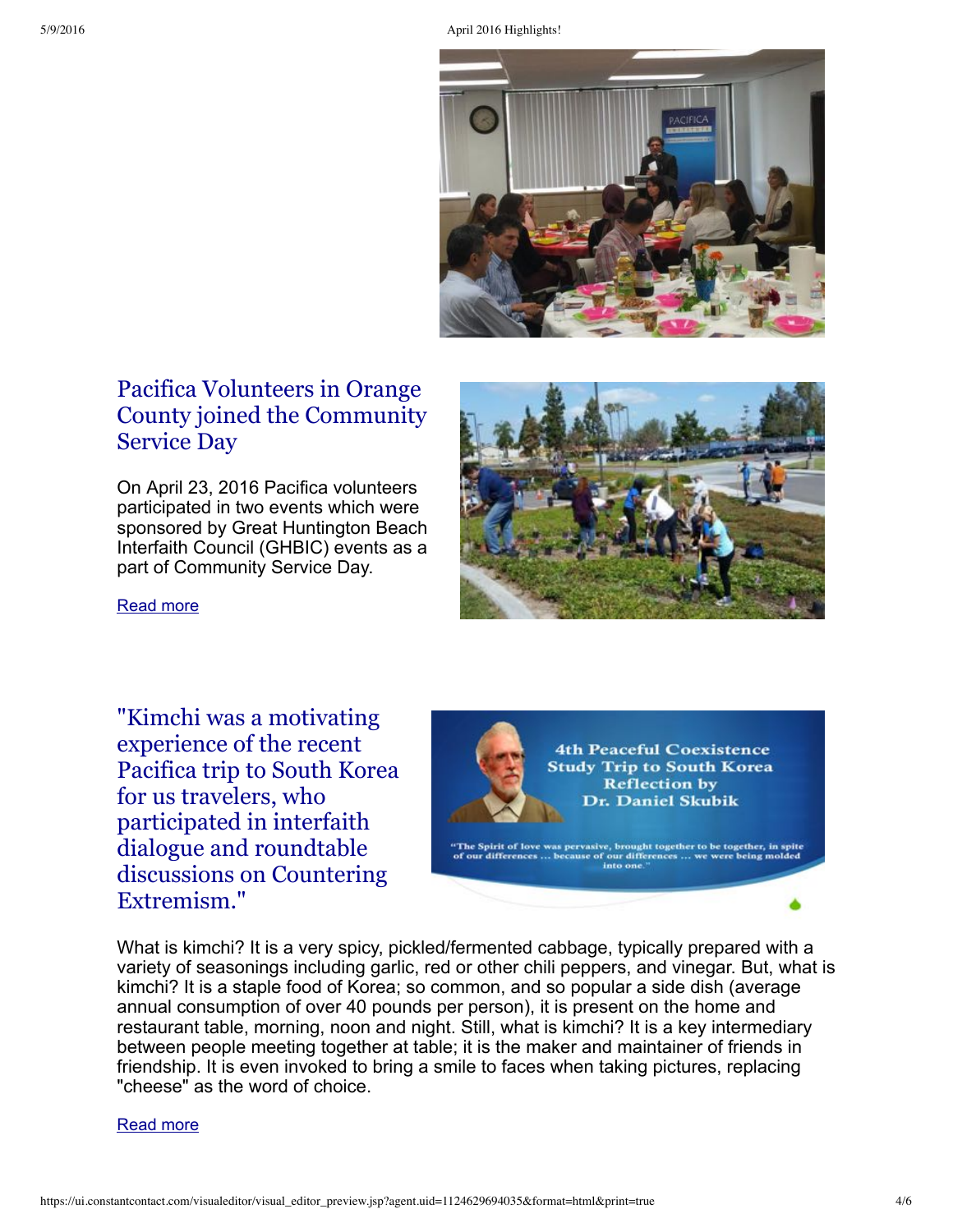5/9/2016 April 2016 Highlights!



# Pacifica Volunteers in Orange County joined the [Community](http://pacificainstitute.org/2016/04/29/pacifica-volunteers-in-orange-county-joined-the-community-service-day/) Service Day

On April 23, 2016 Pacifica volunteers participated in two events which were sponsored by Great Huntington Beach Interfaith Council (GHBIC) events as a part of Community Service Day.



[Read](http://pacificainstitute.org/2016/04/29/pacifica-volunteers-in-orange-county-joined-the-community-service-day/) more

"Kimchi was a motivating experience of the recent Pacifica trip to South Korea for us travelers, who participated in interfaith dialogue and roundtable discussions on Countering [Extremism."](http://pacificainstitute.org/2016/03/12/pacifica-orange-county-in-partnership-with-miss-understanding-hosted-the-fourth-2-faiths-1-friendship-mixer-event/)



What is kimchi? It is a very spicy, pickled/fermented cabbage, typically prepared with a variety of seasonings including garlic, red or other chili peppers, and vinegar. But, what is kimchi? It is a staple food of Korea; so common, and so popular a side dish (average annual consumption of over 40 pounds per person), it is present on the home and restaurant table, morning, noon and night. Still, what is kimchi? It is a key intermediary between people meeting together at table; it is the maker and maintainer of friends in friendship. It is even invoked to bring a smile to faces when taking pictures, replacing "cheese" as the word of choice.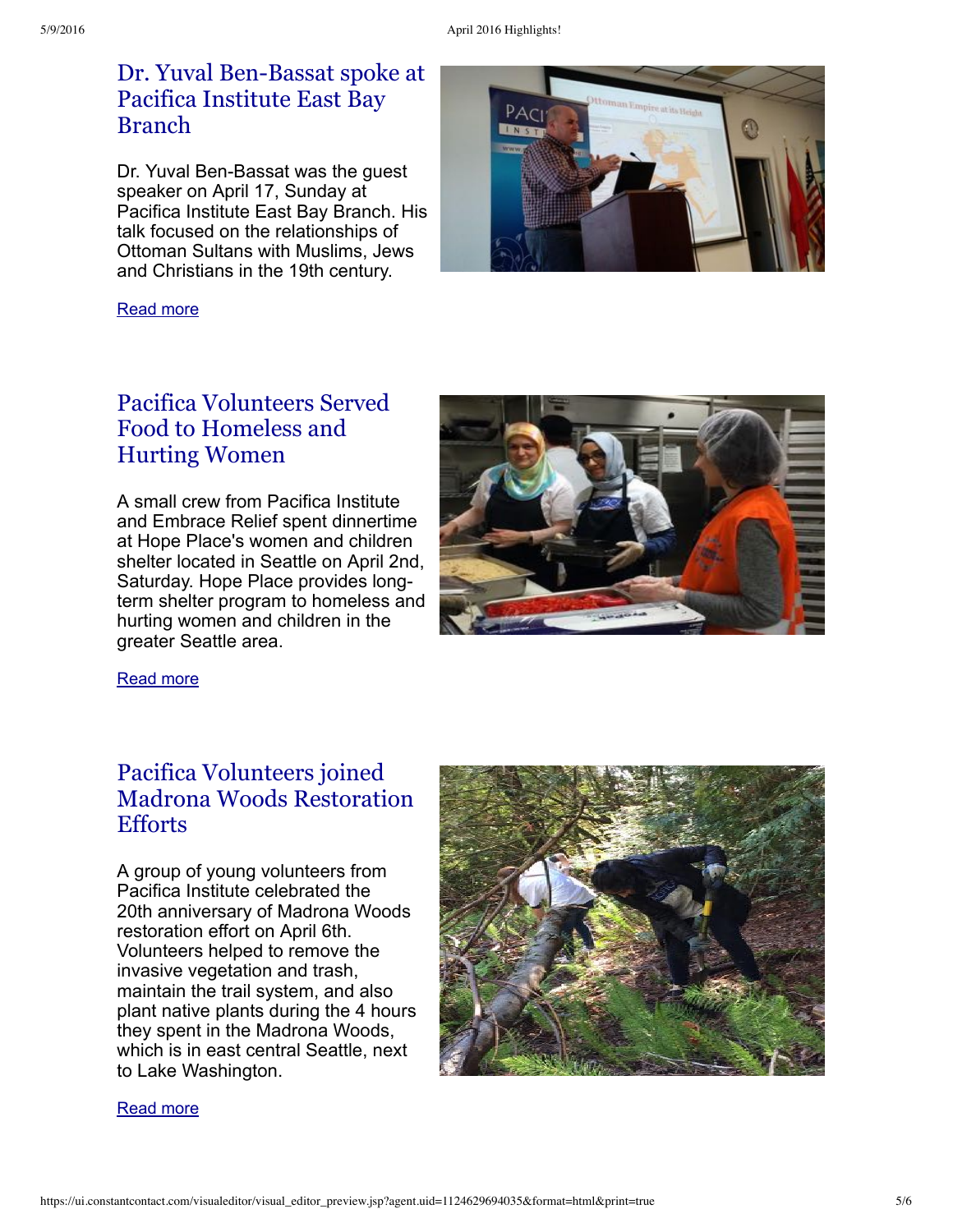## Dr. Yuval [Ben-Bassat](http://pacificainstitute.org/bay-area/2016/04/25/dr-yuval-ben-bassat-the-practice-of-petitioning-the-ottoman-sultan-enabled-ottoman-subjects-to-convey-their-grievances-directly-to-the-ruler/) spoke at Pacifica Institute East Bay Branch

Dr. Yuval Ben-Bassat was the guest speaker on April 17, Sunday at Pacifica Institute East Bay Branch. His talk focused on the relationships of Ottoman Sultans with Muslims, Jews and Christians in the 19th century.

[Read](http://pacificainstitute.org/bay-area/2016/04/25/dr-yuval-ben-bassat-the-practice-of-petitioning-the-ottoman-sultan-enabled-ottoman-subjects-to-convey-their-grievances-directly-to-the-ruler/) more



A small crew from Pacifica Institute and Embrace Relief spent dinnertime at Hope Place's women and children shelter located in Seattle on April 2nd, Saturday. Hope Place provides longterm shelter program to homeless and hurting women and children in the greater Seattle area.





[Read](http://pacificainstitute.org/seattle/2016/05/06/pacifica-volunteers-served-food-to-homeless-and-hurting-women/) more

# Pacifica Volunteers joined Madrona Woods [Restoration](http://pacificainstitute.org/seattle/2016/05/06/pacifica-volunteers-joined-madrona-woods-restoration-efforts/) Efforts

A group of young volunteers from Pacifica Institute celebrated the 20th anniversary of Madrona Woods restoration effort on April 6th. Volunteers helped to remove the invasive vegetation and trash, maintain the trail system, and also plant native plants during the 4 hours they spent in the Madrona Woods, which is in east central Seattle, next to Lake Washington.